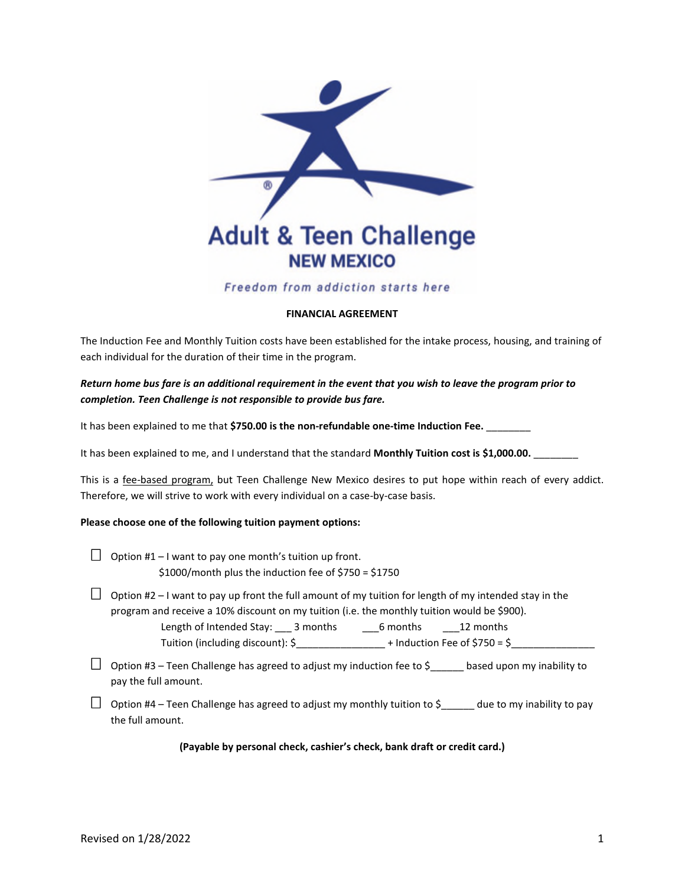

# Freedom from addiction starts here

## **FINANCIAL AGREEMENT**

The Induction Fee and Monthly Tuition costs have been established for the intake process, housing, and training of each individual for the duration of their time in the program.

*Return home bus fare is an additional requirement in the event that you wish to leave the program prior to completion. Teen Challenge is not responsible to provide bus fare.*

It has been explained to me that \$750.00 is the non-refundable one-time Induction Fee.

It has been explained to me, and I understand that the standard Monthly Tuition cost is \$1,000.00.

This is a fee-based program, but Teen Challenge New Mexico desires to put hope within reach of every addict. Therefore, we will strive to work with every individual on a case-by-case basis.

#### **Please choose one of the following tuition payment options:**

- $\Box$  Option #1 I want to pay one month's tuition up front. \$1000/month plus the induction fee of \$750 = \$1750
- $\Box$  Option #2 I want to pay up front the full amount of my tuition for length of my intended stay in the program and receive a 10% discount on my tuition (i.e. the monthly tuition would be \$900). Length of Intended Stay: \_\_\_ 3 months \_\_\_\_\_6 months \_\_\_\_\_12 months
	- Tuition (including discount):  $\frac{6}{5}$  + Induction Fee of  $\frac{6}{5}$  =  $\frac{6}{5}$
- $\Box$  Option #3 Teen Challenge has agreed to adjust my induction fee to \$\_\_\_\_\_\_ based upon my inability to pay the full amount.
- $\Box$  Option #4 Teen Challenge has agreed to adjust my monthly tuition to \$\_\_\_\_\_\_ due to my inability to pay the full amount.

**(Payable by personal check, cashier's check, bank draft or credit card.)**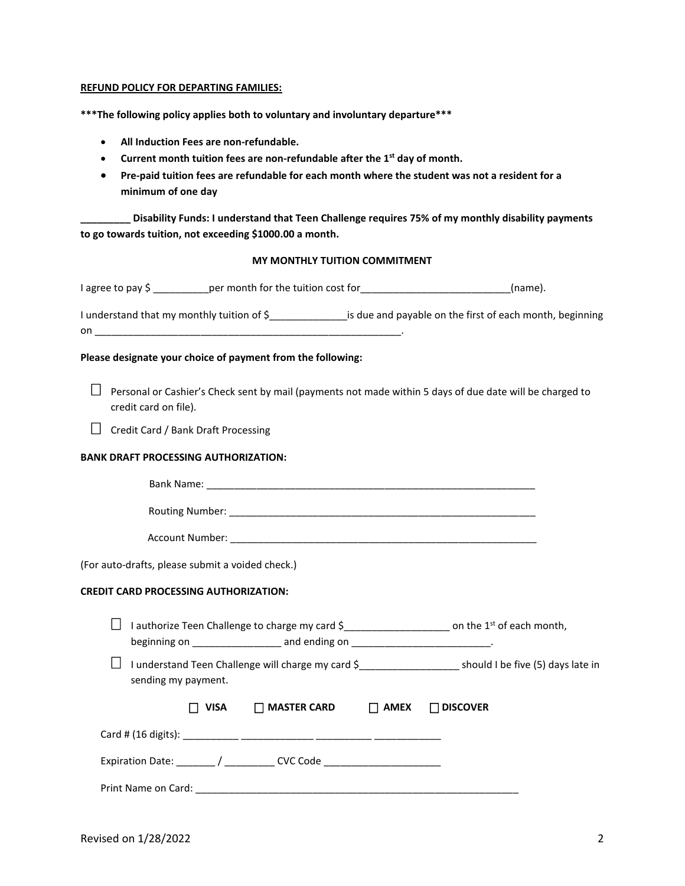### **REFUND POLICY FOR DEPARTING FAMILIES:**

**\*\*\*The following policy applies both to voluntary and involuntary departure\*\*\***

- **All Induction Fees are non-refundable.**
- **Current month tuition fees are non-refundable after the 1st day of month.**
- **Pre-paid tuition fees are refundable for each month where the student was not a resident for a minimum of one day**

**\_\_\_\_\_\_\_\_\_ Disability Funds: I understand that Teen Challenge requires 75% of my monthly disability payments to go towards tuition, not exceeding \$1000.00 a month.**

# **MY MONTHLY TUITION COMMITMENT**

| I agree to pay \$ ____________ per month for the tuition cost for _____________________________(name).                                                                                                                                                                                                                                                                                                                                                                                      |                                |                                                                                                             |
|---------------------------------------------------------------------------------------------------------------------------------------------------------------------------------------------------------------------------------------------------------------------------------------------------------------------------------------------------------------------------------------------------------------------------------------------------------------------------------------------|--------------------------------|-------------------------------------------------------------------------------------------------------------|
| I understand that my monthly tuition of \$_________________ is due and payable on the first of each month, beginning<br>$\begin{picture}(20,10) \put(0,0){\vector(1,0){100}} \put(15,0){\vector(1,0){100}} \put(15,0){\vector(1,0){100}} \put(15,0){\vector(1,0){100}} \put(15,0){\vector(1,0){100}} \put(15,0){\vector(1,0){100}} \put(15,0){\vector(1,0){100}} \put(15,0){\vector(1,0){100}} \put(15,0){\vector(1,0){100}} \put(15,0){\vector(1,0){100}} \put(15,0){\vector(1,0){100}} \$ |                                |                                                                                                             |
| Please designate your choice of payment from the following:                                                                                                                                                                                                                                                                                                                                                                                                                                 |                                |                                                                                                             |
| Personal or Cashier's Check sent by mail (payments not made within 5 days of due date will be charged to<br>credit card on file).                                                                                                                                                                                                                                                                                                                                                           |                                |                                                                                                             |
| Credit Card / Bank Draft Processing<br>$\perp$                                                                                                                                                                                                                                                                                                                                                                                                                                              |                                |                                                                                                             |
| <b>BANK DRAFT PROCESSING AUTHORIZATION:</b>                                                                                                                                                                                                                                                                                                                                                                                                                                                 |                                |                                                                                                             |
|                                                                                                                                                                                                                                                                                                                                                                                                                                                                                             |                                |                                                                                                             |
|                                                                                                                                                                                                                                                                                                                                                                                                                                                                                             |                                |                                                                                                             |
|                                                                                                                                                                                                                                                                                                                                                                                                                                                                                             |                                |                                                                                                             |
| (For auto-drafts, please submit a voided check.)                                                                                                                                                                                                                                                                                                                                                                                                                                            |                                |                                                                                                             |
| <b>CREDIT CARD PROCESSING AUTHORIZATION:</b>                                                                                                                                                                                                                                                                                                                                                                                                                                                |                                |                                                                                                             |
| I authorize Teen Challenge to charge my card \$_________________________ on the 1st of each month,<br>$\sqcup$<br>beginning on _____________________ and ending on _______________________________                                                                                                                                                                                                                                                                                          |                                |                                                                                                             |
| sending my payment.                                                                                                                                                                                                                                                                                                                                                                                                                                                                         |                                | I understand Teen Challenge will charge my card \$_______________________ should I be five (5) days late in |
| VISA                                                                                                                                                                                                                                                                                                                                                                                                                                                                                        | $\Box$ MASTER CARD $\Box$ AMEX | $\Box$ DISCOVER                                                                                             |
|                                                                                                                                                                                                                                                                                                                                                                                                                                                                                             |                                |                                                                                                             |
| Expiration Date: _______/ ___________ CVC Code _________________________________                                                                                                                                                                                                                                                                                                                                                                                                            |                                |                                                                                                             |
|                                                                                                                                                                                                                                                                                                                                                                                                                                                                                             |                                |                                                                                                             |